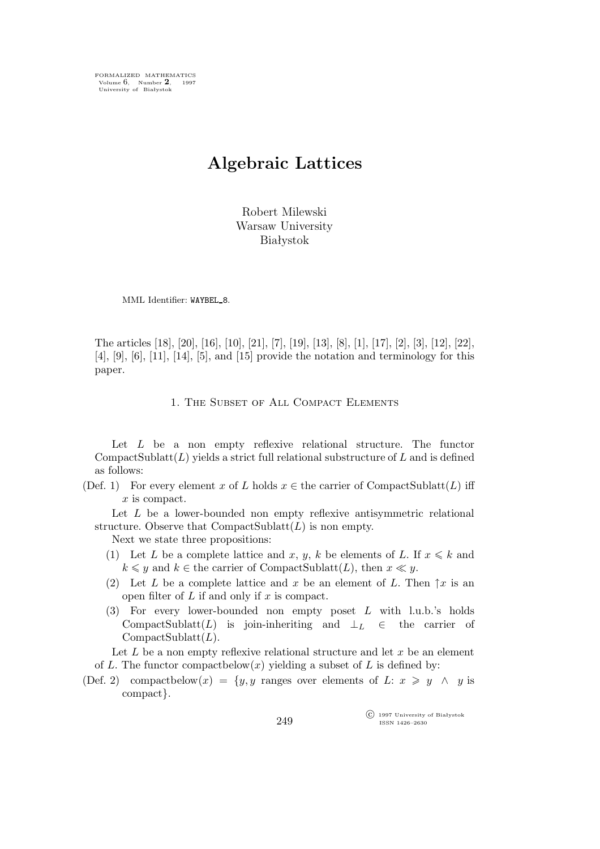FORMALIZED MATHEMATICS Volume 6, Number **2**, 1997 University of Białystok

# **Algebraic Lattices**

Robert Milewski Warsaw University Białystok

MML Identifier: WAYBEL\_8.

The articles [18], [20], [16], [10], [21], [7], [19], [13], [8], [1], [17], [2], [3], [12], [22], [4], [9], [6], [11], [14], [5], and [15] provide the notation and terminology for this paper.

1. The Subset of All Compact Elements

Let L be a non empty reflexive relational structure. The functor CompactSublatt $(L)$  yields a strict full relational substructure of L and is defined as follows:

(Def. 1) For every element x of L holds  $x \in$  the carrier of CompactSublatt(L) iff x is compact.

Let L be a lower-bounded non empty reflexive antisymmetric relational structure. Observe that  $CompactSublatt(L)$  is non empty.

Next we state three propositions:

- (1) Let L be a complete lattice and x, y, k be elements of L. If  $x \le k$  and  $k \leq y$  and  $k \in$  the carrier of CompactSublatt $(L)$ , then  $x \ll y$ .
- (2) Let L be a complete lattice and x be an element of L. Then  $\uparrow x$  is an open filter of  $L$  if and only if  $x$  is compact.
- (3) For every lower-bounded non empty poset L with l.u.b.'s holds CompactSublatt(L) is join-inheriting and *⊥*L *∈* the carrier of  $CompactSublatt(L).$

Let  $L$  be a non empty reflexive relational structure and let  $x$  be an element of L. The functor compactbelow $(x)$  yielding a subset of L is defined by:

(Def. 2) compactbelow(x) =  $\{y, y \text{ ranges over elements of } L: x \geq y \land y \text{ is }$ compact*}*.

> $\widehat{\mathbb{C}}$  1997 University of Białystok ISSN 1426–2630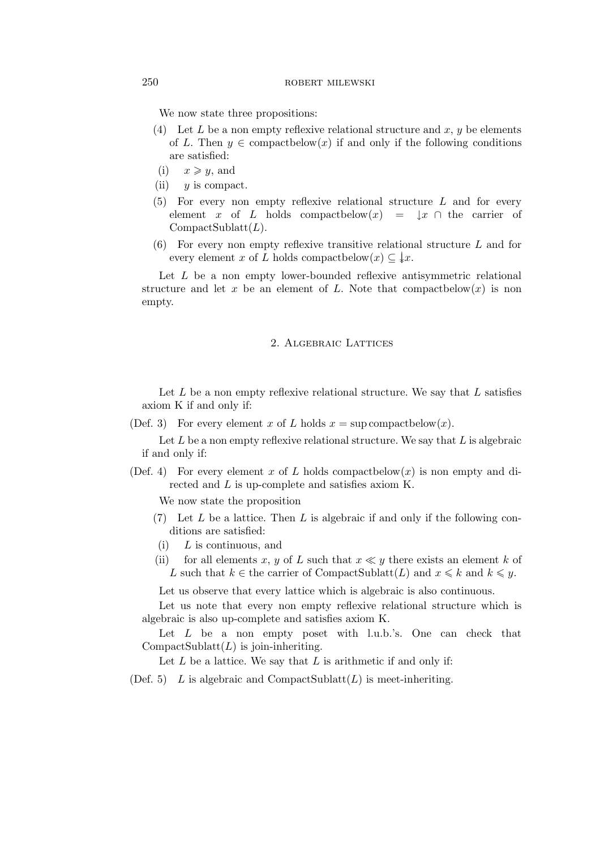We now state three propositions:

- (4) Let L be a non empty reflexive relational structure and x, y be elements of L. Then  $y \in \text{compactbelow}(x)$  if and only if the following conditions are satisfied:
- (i)  $x \geqslant y$ , and
- (ii)  $y$  is compact.
- (5) For every non empty reflexive relational structure L and for every element x of L holds compactbelow(x) =  $\downarrow x \cap$  the carrier of  $CompactSublatt(L).$
- (6) For every non empty reflexive transitive relational structure L and for every element x of L holds compactbelow $(x) \subseteq \downarrow x$ .

Let  $L$  be a non empty lower-bounded reflexive antisymmetric relational structure and let x be an element of L. Note that compact below(x) is non empty.

## 2. Algebraic Lattices

Let  $L$  be a non empty reflexive relational structure. We say that  $L$  satisfies axiom K if and only if:

(Def. 3) For every element x of L holds  $x = \sup \text{compact} \text{below}(x)$ .

Let  $L$  be a non empty reflexive relational structure. We say that  $L$  is algebraic if and only if:

(Def. 4) For every element x of L holds compactbelow(x) is non empty and directed and L is up-complete and satisfies axiom K.

We now state the proposition

- $(7)$  Let L be a lattice. Then L is algebraic if and only if the following conditions are satisfied:
- $(i)$  L is continuous, and
- (ii) for all elements x, y of L such that  $x \ll y$  there exists an element k of L such that  $k \in \text{the carrier of CompactSublatt}(L)$  and  $x \leq k$  and  $k \leq y$ .

Let us observe that every lattice which is algebraic is also continuous.

Let us note that every non empty reflexive relational structure which is algebraic is also up-complete and satisfies axiom K.

Let  $L$  be a non empty poset with l.u.b.'s. One can check that CompactSublatt $(L)$  is join-inheriting.

Let  $L$  be a lattice. We say that  $L$  is arithmetic if and only if:

(Def. 5) L is algebraic and CompactSublatt $(L)$  is meet-inheriting.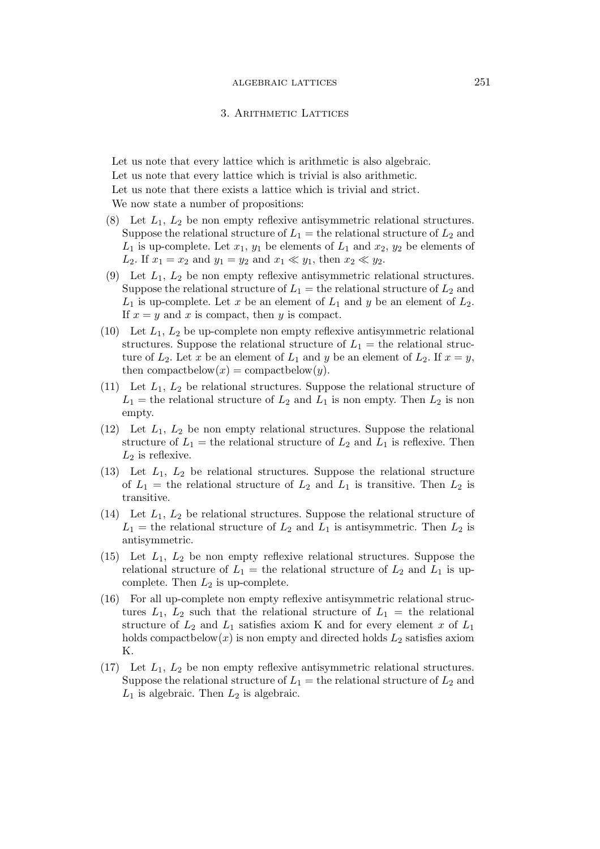#### 3. Arithmetic Lattices

Let us note that every lattice which is arithmetic is also algebraic. Let us note that every lattice which is trivial is also arithmetic. Let us note that there exists a lattice which is trivial and strict. We now state a number of propositions:

- (8) Let  $L_1$ ,  $L_2$  be non empty reflexive antisymmetric relational structures. Suppose the relational structure of  $L_1$  = the relational structure of  $L_2$  and  $L_1$  is up-complete. Let  $x_1, y_1$  be elements of  $L_1$  and  $x_2, y_2$  be elements of *L*<sub>2</sub>. If  $x_1 = x_2$  and  $y_1 = y_2$  and  $x_1 \ll y_1$ , then  $x_2 \ll y_2$ .
- (9) Let  $L_1$ ,  $L_2$  be non empty reflexive antisymmetric relational structures. Suppose the relational structure of  $L_1$  = the relational structure of  $L_2$  and  $L_1$  is up-complete. Let x be an element of  $L_1$  and y be an element of  $L_2$ . If  $x = y$  and x is compact, then y is compact.
- (10) Let  $L_1, L_2$  be up-complete non empty reflexive antisymmetric relational structures. Suppose the relational structure of  $L_1 =$  the relational structure of  $L_2$ . Let x be an element of  $L_1$  and y be an element of  $L_2$ . If  $x = y$ , then compactbelow $(x) =$ compactbelow $(y)$ .
- (11) Let  $L_1$ ,  $L_2$  be relational structures. Suppose the relational structure of  $L_1$  = the relational structure of  $L_2$  and  $L_1$  is non empty. Then  $L_2$  is non empty.
- (12) Let  $L_1$ ,  $L_2$  be non empty relational structures. Suppose the relational structure of  $L_1$  = the relational structure of  $L_2$  and  $L_1$  is reflexive. Then  $L_2$  is reflexive.
- (13) Let  $L_1$ ,  $L_2$  be relational structures. Suppose the relational structure of  $L_1$  = the relational structure of  $L_2$  and  $L_1$  is transitive. Then  $L_2$  is transitive.
- (14) Let  $L_1, L_2$  be relational structures. Suppose the relational structure of  $L_1$  = the relational structure of  $L_2$  and  $L_1$  is antisymmetric. Then  $L_2$  is antisymmetric.
- (15) Let  $L_1$ ,  $L_2$  be non empty reflexive relational structures. Suppose the relational structure of  $L_1$  = the relational structure of  $L_2$  and  $L_1$  is upcomplete. Then  $L_2$  is up-complete.
- (16) For all up-complete non empty reflexive antisymmetric relational structures  $L_1$ ,  $L_2$  such that the relational structure of  $L_1 =$  the relational structure of  $L_2$  and  $L_1$  satisfies axiom K and for every element x of  $L_1$ holds compactbelow $(x)$  is non empty and directed holds  $L_2$  satisfies axiom K.
- (17) Let  $L_1$ ,  $L_2$  be non empty reflexive antisymmetric relational structures. Suppose the relational structure of  $L_1$  = the relational structure of  $L_2$  and  $L_1$  is algebraic. Then  $L_2$  is algebraic.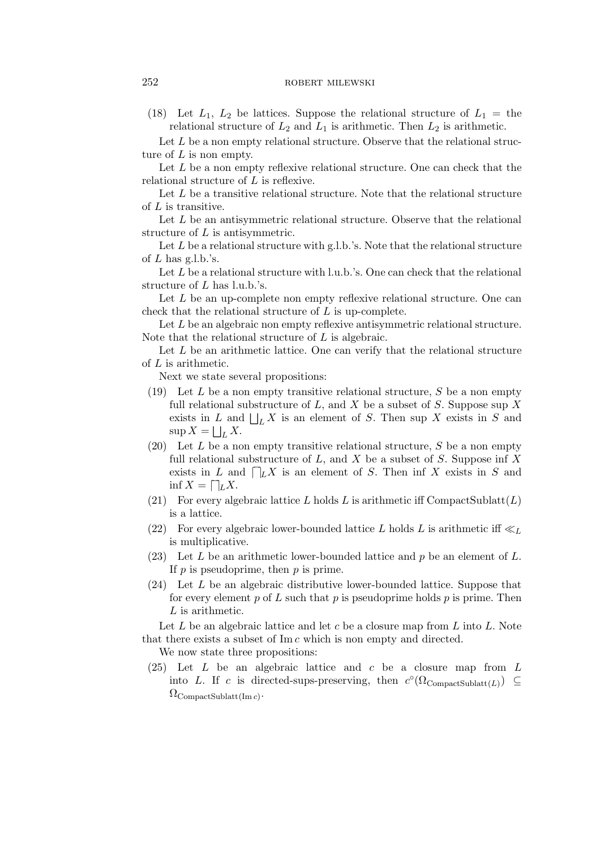(18) Let  $L_1$ ,  $L_2$  be lattices. Suppose the relational structure of  $L_1 =$  the relational structure of  $L_2$  and  $L_1$  is arithmetic. Then  $L_2$  is arithmetic.

Let  $L$  be a non empty relational structure. Observe that the relational structure of  $L$  is non empty.

Let L be a non empty reflexive relational structure. One can check that the relational structure of L is reflexive.

Let  $L$  be a transitive relational structure. Note that the relational structure of L is transitive.

Let L be an antisymmetric relational structure. Observe that the relational structure of L is antisymmetric.

Let  $L$  be a relational structure with g.l.b.'s. Note that the relational structure of  $L$  has g.l.b.'s.

Let  $L$  be a relational structure with l.u.b.'s. One can check that the relational structure of L has l.u.b.'s.

Let L be an up-complete non empty reflexive relational structure. One can check that the relational structure of  $L$  is up-complete.

Let L be an algebraic non empty reflexive antisymmetric relational structure. Note that the relational structure of  $L$  is algebraic.

Let  $L$  be an arithmetic lattice. One can verify that the relational structure of L is arithmetic.

Next we state several propositions:

- (19) Let L be a non empty transitive relational structure, S be a non empty full relational substructure of L, and X be a subset of S. Suppose sup X exists in L and  $\bigsqcup_L X$  is an element of S. Then sup X exists in S and  $\sup X = \bigsqcup_L X.$
- (20) Let  $L$  be a non empty transitive relational structure,  $S$  be a non empty full relational substructure of  $L$ , and  $X$  be a subset of  $S$ . Suppose inf  $X$ exists in L and  $\bigcap_{L} X$  is an element of S. Then inf X exists in S and  $\inf X = \bigcap_{L} X.$
- (21) For every algebraic lattice L holds L is arithmetic iff CompactSublatt $(L)$ is a lattice.
- (22) For every algebraic lower-bounded lattice L holds L is arithmetic iff  $\ll_L$ is multiplicative.
- (23) Let L be an arithmetic lower-bounded lattice and p be an element of L. If  $p$  is pseudoprime, then  $p$  is prime.
- (24) Let L be an algebraic distributive lower-bounded lattice. Suppose that for every element p of L such that p is pseudoprime holds p is prime. Then L is arithmetic.

Let  $L$  be an algebraic lattice and let  $c$  be a closure map from  $L$  into  $L$ . Note that there exists a subset of  $\text{Im } c$  which is non empty and directed.

We now state three propositions:

 $(25)$  Let L be an algebraic lattice and c be a closure map from L into L. If c is directed-sups-preserving, then  $c^{\circ}(\Omega_{\text{CompactSublatt}(L)}) \subseteq$  $\Omega_{\rm CompactSublatt(Im\,c)}$ .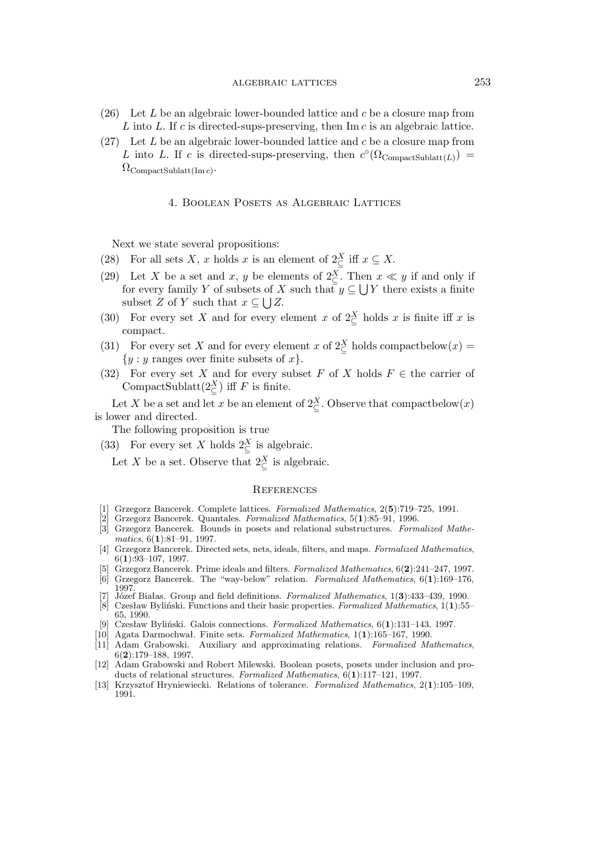# algebraic lattices 253

- (26) Let L be an algebraic lower-bounded lattice and c be a closure map from  $L$  into  $L$ . If  $c$  is directed-sups-preserving, then Im  $c$  is an algebraic lattice.
- $(27)$  Let L be an algebraic lower-bounded lattice and c be a closure map from L into L. If c is directed-sups-preserving, then  $c^{\circ}(\Omega_{\text{CompactSublatt}(L)})$  =  $\Omega_{\rm CompactSublatt(Im\,c)}$ .

#### 4. Boolean Posets as Algebraic Lattices

Next we state several propositions:

- (28) For all sets X, x holds x is an element of  $2\frac{X}{C}$  iff  $x \subseteq X$ .
- (29) Let X be a set and x, y be elements of  $2\frac{X}{C}$ . Then  $x \ll y$  if and only if for every family Y of subsets of X such that  $y \subseteq \bigcup Y$  there exists a finite subset Z of Y such that  $x \subseteq \bigcup Z$ .
- (30) For every set X and for every element x of  $2\frac{X}{C}$  holds x is finite iff x is compact.
- (31) For every set X and for every element x of  $2\frac{X}{C}$  holds compactbelow $(x)$  = *{*y : y ranges over finite subsets of x*}*.
- (32) For every set X and for every subset F of X holds  $F \in \mathcal{F}$  the carrier of CompactSublatt $(2^X_{\subseteq})$  iff F is finite.

Let X be a set and let x be an element of  $2\frac{X}{C}$ . Observe that compactbelow $(x)$ is lower and directed.

The following proposition is true

(33) For every set X holds  $2\frac{X}{C}$  is algebraic.

Let X be a set. Observe that  $2^X_{\subseteq}$  is algebraic.

# **REFERENCES**

- [1] Grzegorz Bancerek. Complete lattices. *Formalized Mathematics*, 2(**5**):719–725, 1991.
- [2] Grzegorz Bancerek. Quantales. *Formalized Mathematics*, 5(**1**):85–91, 1996.
- [3] Grzegorz Bancerek. Bounds in posets and relational substructures. *Formalized Mathematics*, 6(**1**):81–91, 1997.
- [4] Grzegorz Bancerek. Directed sets, nets, ideals, filters, and maps. *Formalized Mathematics*, 6(**1**):93–107, 1997.
- [5] Grzegorz Bancerek. Prime ideals and filters. *Formalized Mathematics*, 6(**2**):241–247, 1997. [6] Grzegorz Bancerek. The "way-below" relation. *Formalized Mathematics*, 6(**1**):169–176,
- 1997.
- [7] Józef Białas. Group and field definitions. *Formalized Mathematics*, 1(**3**):433–439, 1990. [8] Czesław Byliński. Functions and their basic properties. *Formalized Mathematics*, 1(**1**):55– 65, 1990.
- [9] Czesław Byliński. Galois connections. *Formalized Mathematics*, 6(**1**):131–143, 1997.
- [10] Agata Darmochwał. Finite sets. *Formalized Mathematics*, 1(**1**):165–167, 1990.
- [11] Adam Grabowski. Auxiliary and approximating relations. *Formalized Mathematics*, 6(**2**):179–188, 1997.
- [12] Adam Grabowski and Robert Milewski. Boolean posets, posets under inclusion and products of relational structures. *Formalized Mathematics*, 6(**1**):117–121, 1997.
- [13] Krzysztof Hryniewiecki. Relations of tolerance. *Formalized Mathematics*, 2(**1**):105–109, 1991.